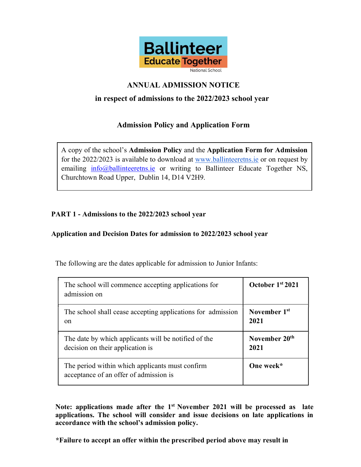

# ANNUAL ADMISSION NOTICE

## in respect of admissions to the 2022/2023 school year

## Admission Policy and Application Form

A copy of the school's Admission Policy and the Application Form for Admission for the 2022/2023 is available to download at www.ballinteeretns.ie or on request by emailing info@ballinteeretns.ie or writing to Ballinteer Educate Together NS, Churchtown Road Upper, Dublin 14, D14 V2H9.

## PART 1 - Admissions to the 2022/2023 school year

## Application and Decision Dates for admission to 2022/2023 school year

The following are the dates applicable for admission to Junior Infants:

| The school will commence accepting applications for<br>admission on                       | October 1 <sup>st</sup> 2021 |
|-------------------------------------------------------------------------------------------|------------------------------|
| The school shall cease accepting applications for admission                               | November 1 <sup>st</sup>     |
| <sub>on</sub>                                                                             | 2021                         |
| The date by which applicants will be notified of the                                      | November 20 <sup>th</sup>    |
| decision on their application is                                                          | 2021                         |
| The period within which applicants must confirm<br>acceptance of an offer of admission is | One week*                    |

Note: applications made after the  $1<sup>st</sup>$  November 2021 will be processed as late applications. The school will consider and issue decisions on late applications in accordance with the school's admission policy.

\*Failure to accept an offer within the prescribed period above may result in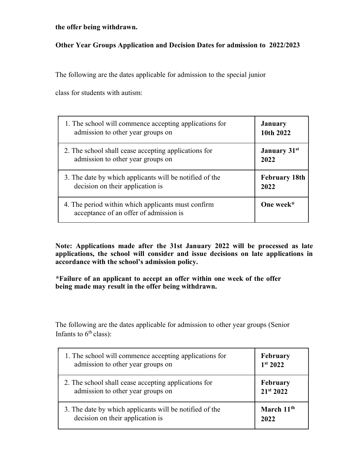#### the offer being withdrawn.

## Other Year Groups Application and Decision Dates for admission to 2022/2023

The following are the dates applicable for admission to the special junior

class for students with autism:

| 1. The school will commence accepting applications for                                       | <b>January</b>                  |
|----------------------------------------------------------------------------------------------|---------------------------------|
| admission to other year groups on                                                            | 10th 2022                       |
| 2. The school shall cease accepting applications for                                         | <b>January</b> 31 <sup>st</sup> |
| admission to other year groups on                                                            | 2022                            |
| 3. The date by which applicants will be notified of the                                      | <b>February 18th</b>            |
| decision on their application is                                                             | 2022                            |
| 4. The period within which applicants must confirm<br>acceptance of an offer of admission is | One week*                       |

Note: Applications made after the 31st January 2022 will be processed as late applications, the school will consider and issue decisions on late applications in accordance with the school's admission policy.

\*Failure of an applicant to accept an offer within one week of the offer being made may result in the offer being withdrawn.

The following are the dates applicable for admission to other year groups (Senior Infants to  $6<sup>th</sup>$  class):

| 1. The school will commence accepting applications for  | February             |
|---------------------------------------------------------|----------------------|
| admission to other year groups on                       | 1 <sup>st</sup> 2022 |
| 2. The school shall cease accepting applications for    | February             |
| admission to other year groups on                       | 21st 2022            |
| 3. The date by which applicants will be notified of the | March $11th$         |
| decision on their application is                        | 2022                 |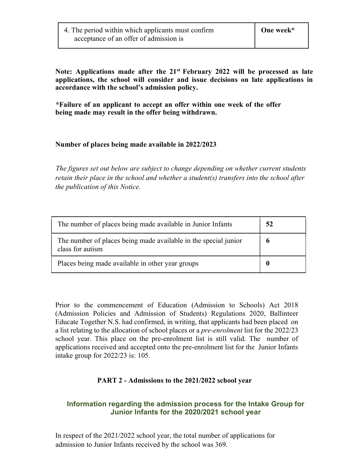Note: Applications made after the  $21<sup>st</sup>$  February 2022 will be processed as late applications, the school will consider and issue decisions on late applications in accordance with the school's admission policy.

\*Failure of an applicant to accept an offer within one week of the offer being made may result in the offer being withdrawn.

## Number of places being made available in 2022/2023

The figures set out below are subject to change depending on whether current students retain their place in the school and whether a student(s) transfers into the school after the publication of this Notice.

| The number of places being made available in Junior Infants                         | 52 |
|-------------------------------------------------------------------------------------|----|
| The number of places being made available in the special junior<br>class for autism |    |
| Places being made available in other year groups                                    |    |

Prior to the commencement of Education (Admission to Schools) Act 2018 (Admission Policies and Admission of Students) Regulations 2020, Ballinteer Educate Together N.S. had confirmed, in writing, that applicants had been placed on a list relating to the allocation of school places or a pre-enrolment list for the 2022/23 school year. This place on the pre-enrolment list is still valid. The number of applications received and accepted onto the pre-enrolment list for the Junior Infants intake group for 2022/23 is: 105.

#### PART 2 - Admissions to the 2021/2022 school year

## Information regarding the admission process for the Intake Group for Junior Infants for the 2020/2021 school year

In respect of the 2021/2022 school year, the total number of applications for admission to Junior Infants received by the school was 369.